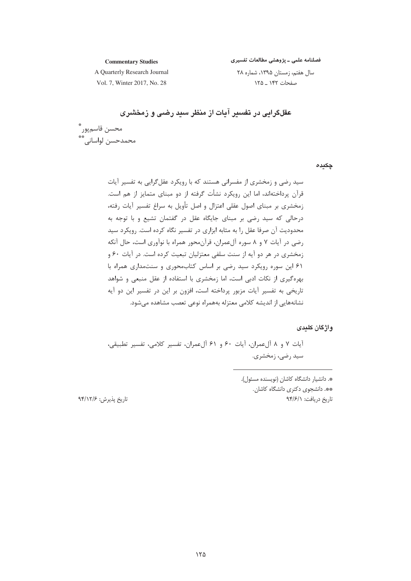فصلنامه علمی ـ پژوهشی مطالعات تفسیری

**Commentary Studies** A Quarterly Research Journal

سال هفتم، زمستان ۱۳۹۵، شماره ۲۸ صفحات ۱۴۲ \_ ۱۲۵

Vol. 7, Winter 2017, No. 28

عقلگرایی در تفسیر آیات از منظر سید رضی و زمخشری

محسن قاسمپور ؓ<br>محمدحسن لواسانی ؓ

چکیدہ

# واژگان کلیدی

أيات ٧ و ٨ ألءمران، أيات ٤٠ و ٤١ ألءمران، تفسير كلامي، تفسير تطبيقي، سید رضی، زمخشری.

> \*. دانشیار دانشگاه کاشان (نویسنده مسئول). \*\*. دانشج*وی* دکتری دانشگاه کاشان. تاريخ دريافت: ٩۴/۶/١

تاريخ پذيرش: ۹۴/۱۲/۶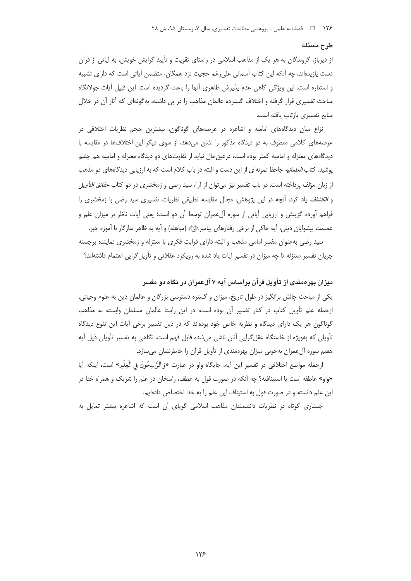### طرح مسئله

از دیرباز، گروندگان به هر یک از مذاهب اسلامی در راستای تقویت و تأیید گرایش خویش، به آیاتی از قرآن دست یازیدهاند، چه آنکه این کتاب آسمانی علی رغم حجیت نزد همگان، متضمن آیاتی است که دارای تشبیه و استعاره است. این ویژگی گاهی عدم پذیرش ظاهری آنها را باعث گردیده است. این قبیل آیات جولانگاه مباحث تفسیری قرار گرفته و اختلاف گسترده عالمان مذاهب را در پی داشته، بهگونهای که آثار آن در خلال منابع تفسیری بازتاب یافته است.

نزاع میان دیدگاههای امامیه و اشاعره در عرصههای گوناگون، بیشترین حجم نظریات اختلافی در عرصههای کلامی معطوف به دو دیدگاه مذکور را نشان میدهد، از سوی دیگر این اختلافها در مقایسه با دیدگاههای معتزله و امامیه کمتر بوده است، درعین حال نباید از تفاوتهای دو دیدگاه معتزله و امامیه هم چشم پوشید. کتاب *العثمانیه* جاحظ نمونهای از این دست و البته در باب کلام است که به ارزیابی دیدگاههای دو مذهب از زبان مؤلف پرداخته است. در باب تفسیر نیز می توان از آراء سید رضی و زمخشری در دو کتاب *حقائق التأویل* و *الكشاف* ياد كرد، آنچه در اين پژوهش، مجال مقايسه تطبيقى نظريات تفسيرى سيد رضى با زمخشرى را فراهم آورده گزینش و ارزیابی آیاتی از سوره آلءمران توسط آن دو است؛ یعنی آیات ناظر بر میزان علم و عصمت پیشوایان دینی، آیه حاکی از برخی رفتارهای پیامبرﷺ (مباهله) و آیه به ظاهر سازگار با آموزه جبر.

سید رضی بهعنوان مفسر امامی مذهب و البته دارای قرابت فکری با معتزله و زمخشری نماینده برجسته جریان تفسیر معتزله تا چه میزان در تفسیر آیات یاد شده به رویکرد عقلانی و تأویل گرایی اهتمام داشتهاند؟

میزان بهرهمندی از تأویل قرآن براساس آیه ۷ آلعمران در نگاه دو مفسر یکی از مباحث چالش برانگیز در طول تاریخ، میزان و گستره دسترسی بزرگان و عالمان دین به علوم وحیانی، ازجمله علم تأویل کتاب در کنار تفسیر آن بوده است، در این راستا عالمان مسلمان وابسته به مذاهب گوناگون هر یک دارای دیدگاه و نظریه خاص خود بودهاند که در ذیل تفسیر برخی آیات این تنوع دیدگاه تأویلی که بهویژه از خاستگاه عقل گرایی آنان ناشی می شده قابل فهم است. نگاهی به تفسیر تأویلی ذیل آیه هفتم سوره آل عمران بهخوبی میزان بهرهمندی از تأویل قرآن را خاطرنشان می سازد.

ازجمله مواضع اختلافي در تفسير اين آيه، جايگاه واو در عبارت «وَ الرَّاسِخُونَ في الْعِلْمِ» است، اينكه آيا «واو» عاطفه است یا استینافیه؟ چه آنکه در صورت قول به عطف، راسخان در علم را شریک و همراه خدا در این علم دانسته و در صورت قول به استیناف این علم را به خدا اختصاص دادهایم.

جستاری کوتاه در نظریات دانشمندان مذاهب اسلامی گویای آن است که اشاعره بیشتر تمایل به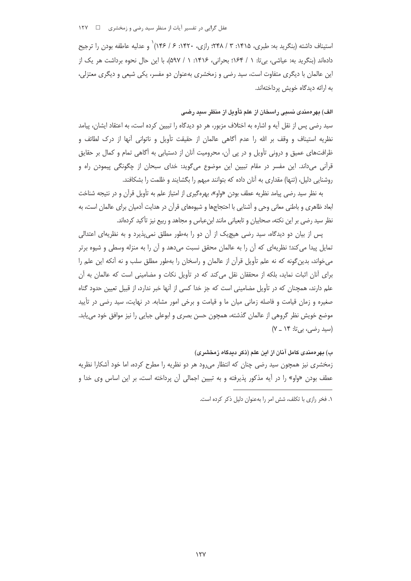عقل گرایی در تفسیر آیات از منظر سید رضی و زمخشری د د ۱۲۷

استیناف داشته (بنگرید به: طبری، ۱۴۱۵: ۳ / ۲۴۸؛ رازی، ۱۴۲۰: ۶ / ۱۴۶)` و عدلیه عاطفه بودن را ترجیح دادهاند (بنگرید به: عیاشی، بیتا: ۱ / ۱۶۴؛ بحرانی، ۱۴۱۶: ۱ / ۵۹۷)، با این حال نحوه برداشت هر یک از این عالمان با دیگری متفاوت است، سید رضی و زمخشری بهعنوان دو مفسر، یکی شیعی و دیگری معتزلی، به ارائه دیدگاه خویش پرداختهاند.

الف) بهرەمندى نسبى راسخان از علم تأويل از منظر سيد رضى

سید رضی پس از نقل آیه و اشاره به اختلاف مزبور، هر دو دیدگاه را تبیین کرده است، به اعتقاد ایشان، پیامد نظریه استیناف و وقف بر الله را عدم أگاهی عالمان از حقیقت تأویل و ناتوانی آنها از درک لطائف و ظرافتهای عمیق و درونی تأویل و در پی آن، محرومیت آنان از دستیابی به آگاهی تمام و کمال بر حقایق قرآنی میداند. این مفسر در مقام تبیین این موضوع میگوید: خدای سبحان از چگونگی پیمودن راه و روشنایی دلیل، (تنها) مقداری به آنان داده که بتوانند مبهم را بگشایند و ظلمت را بشکافند.

به نظر سید رضی پیامد نظریه عطف بودن «واو»، بهرهگیری از امتیاز علم به تأویل قرآن و در نتیجه شناخت بعاد ظاهری و باطنی معانی وحی و آشنایی با احتجاجها و شیوههای قرآن در هدایت آدمیان برای عالمان است، به نظر سید رضی بر این نکته، صحابیان و تابعیانی مانند ابنءباس و مجاهد و ربیع نیز تأکید کردهاند.

یس از بیان دو دیدگاه، سید رضی هیچ یک از آن دو را بهطور مطلق نمی پذیرد و به نظریهای اعتدالی تمایل پیدا می کند؛ نظریهای که آن را به عالمان محقق نسبت می دهد و آن را به منزله وسطی و شیوه برتر می خواند، بدین گونه که نه علم تأویل قرآن از عالمان و راسخان را بهطور مطلق سلب و نه آنکه این علم را برای آنان اثبات نماید، بلکه از محققان نقل میکند که در تأویل نکات و مضامینی است که عالمان به آن علم دارند، همچنان که در تأویل مضامینی است که جز خدا کسی از آنها خبر ندارد، از قبیل تعیین حدود گناه صغیره و زمان قیامت و فاصله زمانی میان ما و قیامت و برخی امور مشابه. در نهایت، سید رضی در تأیید موضع خویش نظر گروهی از عالمان گذشته، همچون حسن بصری و ابوعلی جبایی را نیز موافق خود می یابد. (سید رضی، بیتا: ۱۴ \_ ۷)

ب) بهرەمندى كامل آنان از اين علم (ذكر ديدگاه زمخشرى) زمخشری نیز همچون سید رضی چنان که انتظار میرود هر دو نظریه را مطرح کرده، اما خود آشکارا نظریه عطف بودن «واو» را در آیه مذکور پذیرفته و به تبیین اجمالی آن پرداخته است، بر این اساس وی خدا و

١. فخر رازي با تكلف، شش امر را به عنوان دليل ذكر كرده است.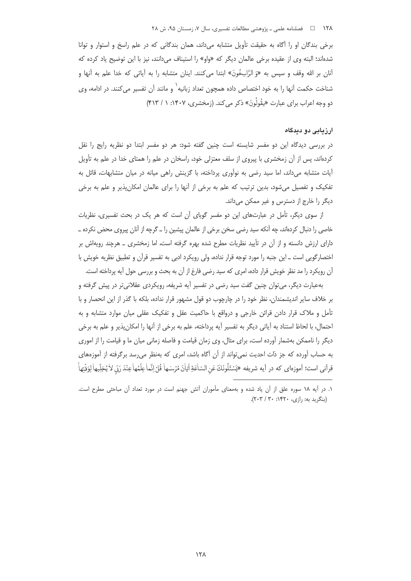برخی بندگان او را آگاه به حقیقت تأویل متشابه می داند، همان بندگانی که در علم راسخ و استوار و توانا شدهاند؛ البته وي از عقيده برخي عالمان ديگر كه «واو» را استيناف مي دانند، نيز با اين توضيح ياد كرده كه آنان بر الله وقف و سپس به «وَ الرَّاسِخُونَ» ابتدا می کنند. اینان متشابه را به آیاتی که خدا علم به آنها و شناخت حکمت آنها را به خود اختصاص داده همچون تعداد زبانیه<sup>\</sup> و مانند آن تفسیر میکنند. در ادامه، وی دو وجه اعراب برای عبارت «بقُولُونَ» ذکر مرکند. (زمخشری، ۱۴۰۷: ۱ / ۴۱۳)

### ارزیابی دو دیدگاه

در بررسی دیدگاه این دو مفسر شایسته است چنین گفته شود: هر دو مفسر ابتدا دو نظریه رایج را نقل کردهاند، پس از آن زمخشری با پیروی از سلف معتزلی خود، راسخان در علم را همتای خدا در علم به تأویل آیات متشابه میداند، اما سید رضی به نوآوری پرداخته، با گزینش راهی میانه در میان متشابهات، قائل به تفکیک و تفصیل میشود، بدین ترتیب که علم به برخی از آنها را برای عالمان امکانپذیر و علم به برخی دیگر را خارج از دسترس و غیر ممکن میداند.

از سوی دیگر، تأمل در عبارتهای این دو مفسر گویای آن است که هر یک در بحث تفسیری، نظریات خاصی را دنبال کردهاند، چه آنکه سید رضی سخن برخی از عالمان پیشین را ـ گرچه از آنان پیروی محض نکرده ــ دارای ارزش دانسته و از آن در تأیید نظریات مطرح شده بهره گرفته است، اما زمخشری \_ هرچند رویهاش بر اختصار گویے ،است ــ این جنبه را مورد توجه قرار نداده، ولی رویکرد ادبی به تفسیر قرآن و تطبیق نظریه خویش با آن رویکرد را مد نظر خویش قرار داده، امری که سید رضی فارغ از آن به بحث و بررسی حول آیه پرداخته است.

بهعبارت دیگر، می توان چنین گفت سید رضی در تفسیر آیه شریفه، رویکردی عقلانی تر در پیش گرفته و بر خلاف سایر اندیشمندان، نظر خود را در چارچوب دو قول مشهور قرار نداده، بلکه با گذر از این انحصار و با تأمل و ملاک قرار دادن قرائن خارجی و درواقع با حاکمیت عقل و تفکیک عقلی میان موارد متشابه و به احتمال، با لحاظ استناد به آياتي ديگر به تفسير آيه پرداخته، علم به برخي از آنها را امكانٍپذير و علم به برخي دیگر را ناممکن بهشمار آورده است، برای مثال، وی زمان قیامت و فاصله زمانی میان ما و قیامت را از اموری به حساب آورده که جز ذات احدیت نمی تواند از آن آگاه باشد، امری که بهنظر می رسد برگرفته از آموزههای قرآني است؛ آموزەاي كه در آيه شريفه «يَسْئَلُونَكَ عَنِ السّاْعَةِ آتِاْنَ مُرْسْهاْ قُلْ إِنَّماْ عِلْمُهاٰعِنْدَ رَبّ لأيُجَلِّيهاٰ لِوَقْتِهاٰ

١. در آيه ١٨ سوره علق از آن ياد شده و بهمعناى مأموران آتش جهنم است در مورد تعداد آن مباحثى مطرح است. (بنگرید به: , ازی، ۱۴۲۰: ۳۰ / ۲۰۳).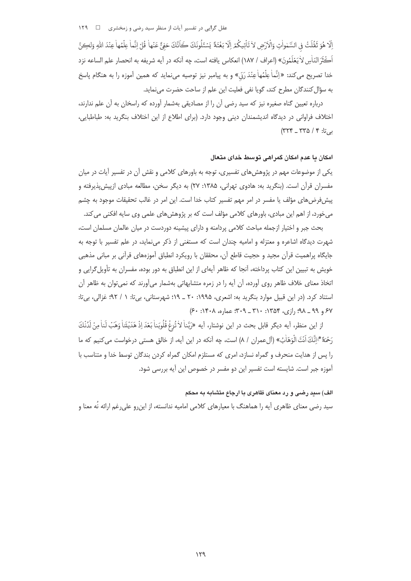عقل گرایی در تفسیر آیات از منظر سید رضی و زمخشری ه د ۱۲۹

إِلَّا هُوَ تَقُلَتْ فِي السَّمْواتِ وَالْأَرْضِ لا تَأْتِيكُمْ إِلَّا بَغْتَةً يَسْئَلُونَكَ كَانَّكَ حَفِيٌّ عَنْها قُلْ إِنَّما عِلْمُها عِنْدَ اللهِ وَلِكِنَّ اَكْثَرَ النّاٰسِ لاٰ يَعْلَمُونَ» (اعراف / ١٨٧) انعكاس يافته است، چه آنكه در آيه شريفه به انحصار علم الساعه نزد خدا تصریح می کند: «إنَّماٰ عِلْمُهاٰ عِنْدَ رَدّ) و به پیامبر نیز توصیه می نماید که همین آموزه را به هنگام پاسخ به سؤال كنندگان مطرح كند، گويا نفي فعليت اين علم از ساحت حضرت مي نمايد.

درباره تعیین گناه صغیره نیز که سید رضی آن را از مصادیقی بهشمار آورده که راسخان به آن علم ندارند، اختلاف فراوانی در دیدگاه اندیشمندان دینی وجود دارد. (برای اطلاع از این اختلاف بنگرید به: طباطبایی،  $($ ۳۲۴ \_ ۳۳۵ / ۴ یې تا: ۴ / ۳۲۴

# امکان یا عدم امکان گمراهی توسط خدای متعال

یکی از موضوعات مهم در پژوهش های تفسیری، توجه به باورهای کلامی و نقش آن در تفسیر آیات در میان مفسران قرآن است. (بنگرید به: هادوی تهرانی، ۱۳۸۵: ۲۷) به دیگر سخن، مطالعه مبادی ازییش پذیرفته و پیش فرض های مؤلف یا مفسر در امر مهم تفسیر کتاب خدا است. این امر در غالب تحقیقات موجود به چشم میخورد، از اهم این مبادی، باورهای کلامی مؤلف است که بر پژوهشهای علمی وی سایه افکنی می کند.

بحث جبر و اختیار ازجمله مباحث کلامی پردامنه و دارای پیشینه دوردست در میان عالمان مسلمان است، شهرت دیدگاه اشاعره و معتزله و امامیه چندان است که مستغنی از ذکر می نماید، در علم تفسیر با توجه به جايگاه پراهميت قرآن مجيد و حجيت قاطع آن، محققان با رويكرد انطباق آموزههاي قرآني بر مباني مذهبي خویش به تبیین این کتاب پرداخته، آنجا که ظاهر آیهای از این انطباق به دور بوده، مفسران به تأویل گرایی و اتخاذ معنای خلاف ظاهر روی آورده، آن آیه را در زمره متشابهاتی بهشمار میآورند که نمی توان به ظاهر آن استناد کرد. (در این قبیل موارد بنگرید به: اشعری، ۱۹۹۵: ۲۰ ـ ۱۹): شهرستانی، بیتا: ۱ / ۹۲؛ غزالی، بیتا:  $(5.19.4 \times 10^{-14})$  (13)  $20.4 \times 10^{-14}$  =  $10.4 \times 10^{-14}$  =  $10.4 \times 10^{-14}$ 

از اين منظر، آيه ديگر قابل بحث در اين نوشتار، آيه «رَبَّناْ لا تُزِغْ قُلُوبَناْ بَعْدَ اِذْ هَدَيْتَناْ وَهَبْ لَناْ مِنْ لَدُنْكَ رَحْمَةً \* إِنَّكَ اَنْتَ الْوَهَّاٰبُ» (آلِعمران / ٨) است، چه آنكه در این آیه، از خالق هستی درخواست می كنیم كه ما را پس از هدایت منحرف و گمراه نسازد، امری که مستلزم امکان گمراه کردن بندگان توسط خدا و متناسب با آموزه جبر است. شایسته است تفسیر این دو مفسر در خصوص این آیه بررسی شود.

### الف) سید رضی و رد معنای ظاهری با ارجاع متشابه به محکم

سید رضی معنای ظاهری آیه را هماهنگ با معیارهای کلامی امامیه ندانسته، از این,رو علی,رغم ارائه نُه معنا و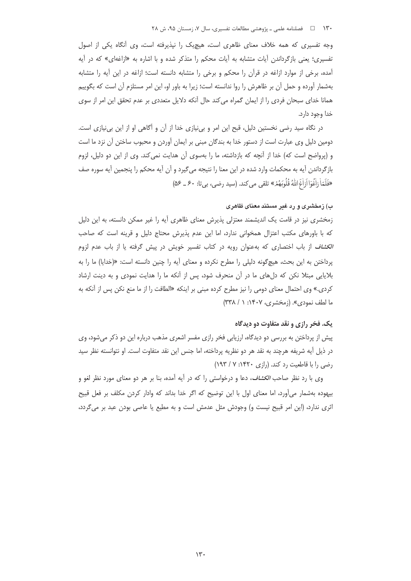وجه تفسیری که همه خلاف معنای ظاهری است، هیچیک را نپذیرفته است، وی أنگاه یکی از اصول تفسیری؛ یعنی بازگرداندن آیات متشابه به آیات محکم را متذکر شده و با اشاره به «ازاغهای» که در آیه آمده، برخی از موارد ازاغه در قرآن را محکم و برخی را متشابه دانسته است؛ ازاغه در این آیه را متشابه بهشمار آورده و حمل آن بر ظاهرش را روا ندانسته است؛ زیرا به باور او، این امر مستلزم آن است که بگوییم همانا خدای سبحان فردی را از ایمان گمراه میکند حال أنکه دلایل متعددی بر عدم تحقق این امر از سوی خدا وجود دارد.

در نگاه سید رضی نخستین دلیل، قبح این امر و بی نیازی خدا از آن و آگاهی او از این بی نیازی است. دومین دلیل وی عبارت است از دستور خدا به بندگان مبنی بر ایمان آوردن و محبوب ساختن آن نزد ما است و (پرواضح است که) خدا از آنچه که بازداشته، ما را بهسوی آن هدایت نمی کند. وی از این دو دلیل، لزوم بازگرداندن آيه به محكمات وارد شده در اين معنا را نتيجه ميگيرد و آن آيه محكم را پنجمين آيه سوره صف «فَلَمّاْ زِاٰعُوٓا اَرَاٰغَ اللّٰهُ قُلُوبَهُمُرٌ» تلقى مى كند. (سيد رضى، بى تا: ٤٠ ـ ۵۶)

## ب) زمخشری و رد غیر مستند معنای ظاهری

زمخشری نیز در قامت یک اندیشمند معتزلی پذیرش معنای ظاهری أیه را غیر ممکن دانسته، به این دلیل که با باورهای مکتب اعتزال همخوانی ندارد، اما این عدم پذیرش محتاج دلیل و قرینه است که صاحب *الکشاف* از باب اختصاری که بهعنوان رویه در کتاب تفسیر خویش در پیش گرفته یا از باب عدم لزوم یرداختن به این بحث، هیچگونه دلیلی را مطرح نکرده و معنای آیه را چنین دانسته است: «(خدایا) ما را به بلایایی مبتلا نکن که دلهای ما در آن منحرف شود، پس از آنکه ما را هدایت نمودی و به دینت ارشاد کردی.» وی احتمال معنای دومی را نیز مطرح کرده مبنی بر اینکه «الطافت را از ما منع نکن پس از آنکه به ما لطف نمودي». (زمخشري، ۱۴۰۷: ۱ / ۳۳۸)

# يک. فخر رازي و نقد متفاوت دو ديدگاه

پیش از پرداختن به بررسی دو دیدگاه، ارزیابی فخر رازی مفسر اشعری مذهب درباره این دو ذکر میشود، وی در ذيل آيه شريفه هرچند به نقد هر دو نظريه پرداخته، اما جنس اين نقد متفاوت است. او نتوانسته نظر سيد رضی را با قاطعیت رد کند. (رازی ۱۴۲۰: ۷/ ۱۹۳)

وی با رد نظر صاحب *الکشاف*، دعا و درخواستی را که در آیه آمده، بنا بر هر دو معنای مورد نظر لغو و بیهوده بهشمار میآورد، اما معنای اول با این توضیح که اگر خدا بداند که وادار کردن مکلف بر فعل قبیح اثري ندارد، (اين امر قبيح نيست و) وجودش مثل عدمش است و به مطيع يا عاصي بودن عبد بر مي گردد،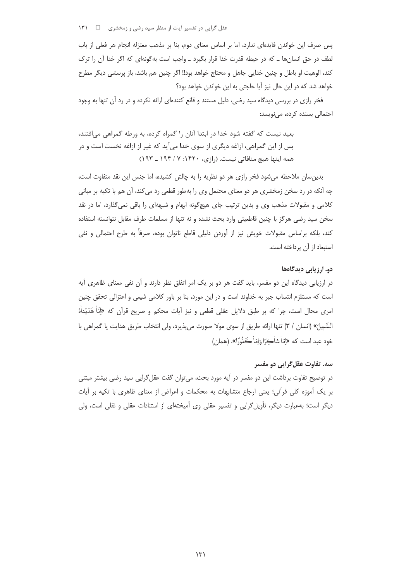عقل گرایی در تفسیر آیات از منظر سید رضی و زمخشری د د ۱۳۱

یس صرف این خواندن فایدهای ندارد، اما بر اساس معنای دوم، بنا بر مذهب معتزله انجام هر فعلی از باب لطف در حق انسانها ـ که در حیطه قدرت خدا قرار بگیرد ـ واجب است بهگونهای که اگر خدا آن را ترک كند، الوهيت او باطل و چنين خدايي جاهل و محتاج خواهد بود!! اگر چنين هم باشد، باز پرسشي ديگر مطرح خواهد شد که در این حال نیز آیا حاجتی به این خواندن خواهد بود؟

فخر رازی در بررسی دیدگاه سید رضی، دلیل مستند و قانع کنندهای ارائه نکرده و در رد آن تنها به وجود احتمالی بسنده کرده، مینویسد:

بعید نیست که گفته شود خدا در ابتدا آنان را گمراه کرده، به ورطه گمراهی می افتند، پس از این گمراهی، ازاغه دیگری از سوی خدا میآید که غیر از ازاغه نخست است و در همه اینها هیچ منافاتی نیست. (رازی، ۱۴۲۰: ۷/ ۱۹۴ ـ ۱۹۳)

بدین سان ملاحظه میشود فخر رازی هر دو نظریه را به چالش کشیده، اما جنس این نقد متفاوت است، چه آنکه در رد سخن زمخشری هر دو معنای محتمل وی را بهطور قطعی رد می کند، آن هم با تکیه بر مبانی کلامی و مقبولات مذهب وی و بدین ترتیب جای هیچگونه ابهام و شبههای را باقی نمیگذارد، اما در نقد سخن سید رضی هرگز با چنین قاطعیتی وارد بحث نشده و نه تنها از مسلمات طرف مقابل نتوانسته استفاده کند، بلکه براساس مقبولات خویش نیز از آوردن دلیلی قاطع ناتوان بوده، صرفاً به طرح احتمالی و نفی استبعاد از آن پرداخته است.

### دو. ارزیابی دیدگاهها

در ارزیابی دیدگاه این دو مفسر، باید گفت هر دو بر یک امر اتفاق نظر دارند و آن نفی معنای ظاهری آیه است که مستلزم انتساب جبر به خداوند است و در این مورد، بنا بر باور کلامی شیعی و اعتزالی تحقق چنین امري محال است، چرا كه بر طبق دلايل عقلي قطعي و نيز أيات محكم و صريح قرآن كه «إنَّا هَدَيْناْهُ السَّبيلَ» (انسان / ٣) تنها ارائه طريق از سوى مولا صورت مى پذيرد، ولى انتخاب طريق هدايت يا گمراهي با خود عبد است که «امّاْ شاڪرًا وَاِمّاٰ ڪَفُورًا». (همان)

# سه. تفاوت عقل گرایی دو مفسر

در توضیح تفاوت برداشت این دو مفسر در آیه مورد بحث، میتوان گفت عقل\$رایی سید رضی بیشتر مبتنی بر یک آموزه کلی قرآنی؛ یعنی ارجاع متشابهات به محکمات و اعراض از معنای ظاهری با تکیه بر آیات دیگر است؛ بهعبارت دیگر، تأویل گرایی و تفسیر عقلی وی آمیختهای از استنادات عقلی و نقلی است، ولی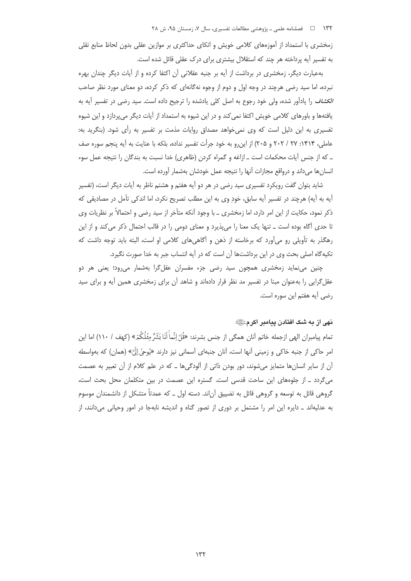زمخشری با استمداد از آموزههای کلامی خویش و اتکای حداکثری بر موازین عقلی بدون لحاظ منابع نقلی به تفسیر آیه پرداخته هر چند که استقلال بیشتری برای درک عقلی قائل شده است.

بهعبارت دیگر، زمخشری در برداشت از آیه بر جنبه عقلانی آن اکتفا کرده و از آیات دیگر چندان بهره نبرده، اما سید رضی هرچند در وجه اول و دوم از وجوه نهگانهای که ذکر کرده، دو معنای مورد نظر صاحب *الكشاف* را ياداًور شده، ولي خود رجوع به اصل كلي يادشده را ترجيح داده است. سيد رضي در تفسير أيه به یافتهها و باورهای کلامی خویش اکتفا نمی کند و در این شیوه به استمداد از آیات دیگر می پردازد و این شیوه تفسیری به این دلیل است که وی نمی خواهد مصداق روایات مذمت بر تفسیر به رأی شود. (بنگرید به: عاملي، ١۴١۴: ٢٧ / ٢٠٢ و ٢٠۵) از اين رو به خود جرأت تفسير نداده، بلكه با عنايت به آيه پنجم سوره صف ـ كه از جنس آيات محكمات است ـ ازاغه و گمراه كردن (ظاهري) خدا نسبت به بندگان را نتيجه عمل سوء انسان ها می داند و درواقع مجازات آنها را نتیجه عمل خودشان بهشمار آورده است.

شاید بتوان گفت رویکرد تفسیری سید رضی در هر دو آیه هفتم و هشتم ناظر به آیات دیگر است، (تفسیر آيه به آيه) هرچند در تفسير آيه سابق، خود وي به اين مطلب تصريح نكرد، اما اندكي تأمل در مصاديقي كه ذکر نمود، حکایت از این امر دارد، اما زمخشری ــ با وجود آنکه متأخر از سید رضی و احتمالاً بر نظریات وی تا حدی آگاه بوده است ــ تنها یک معنا را میپذیرد و معنای دومی را در قالب احتمال ذکر میکند و از این رهگذر به تأویلی رو می آورد که برخاسته از ذهن و آگاهی های کلامی او است، البته باید توجه داشت که تکیهگاه اصلی بحث وی در این برداشتها آن است که در آیه انتساب جبر به خدا صورت نگیرد.

چنین می;نماید زمخشری همچون سید رضی جزء مفسران عقل¢را بهشمار می,رود؛ یعنی هر دو عقل گرایی را بهعنوان مبنا در تفسیر مد نظر قرار دادهاند و شاهد آن برای زمخشری همین آیه و برای سید رضی آیه هفتم این سوره است.

# نهی از به شک افتادن پیامبر اکرمﷺ

تمام پیامبران الهی ازجمله خاتم آنان همگی از جنس بشرند: «قُلْ إِنَّماً اَنَا بَشَرٌّ مِثْلُكُمْ» (کهف / ١١٠) اما این امر حاکي از جنبه خاکي و زميني آنها است، آنان جنبهاي آسماني نيز دارند «يُوحيِّ إلَيَّ» (همان) که بهواسطه آن از سایر انسانها متمایز میشوند، دور بودن ذاتی از آلودگیها ـ که در علم کلام از آن تعبیر به عصمت می گردد \_ از جلوههای این ساحت قدسی است. گستره این عصمت در بین متکلمان محل بحث است، گروهی قائل به توسعه و گروهی قائل به تضییق آن|ند. دسته اول \_ که عمدتاً متشکل از دانشمندان موسوم به عدلیهاند ــ دایره این امر را مشتمل بر دوری از تصور گناه و اندیشه نابهجا در امور وحیانی می دانند، از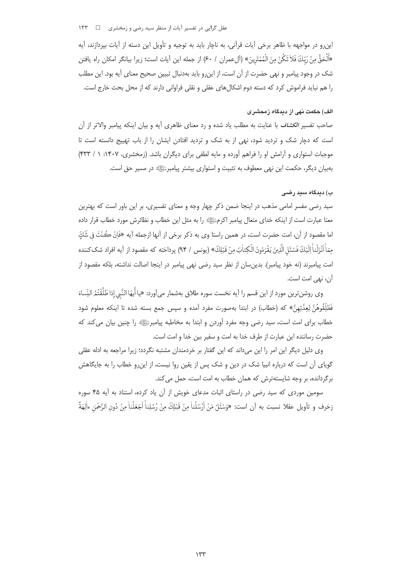عقل گرایی در تفسیر آیات از منظر سید رضی و زمخشری ⊥⊡  $155$ 

این٫رو در مواجهه با ظاهر برخی آیات قرآنی٬ به ناچار باید به توجیه و تأویل این دسته از آیات بیردازند، آیه «َأَلْحَقُّ مِنْ رَبِّكَ فَلاْ تَكُنْ مِنَ الْمُمْتَرِينَ» (ألءمران / ٤٠) از جمله اين أيات است؛ زيرا بيانگر امكان راه يافتن شک در وجود پیامبر و نهی حضرت از آن است، از این٫رو باید بهدنبال تبیین صحیح معنای آیه بود. این مطلب را هم نباید فراموش کرد که دسته دوم اشکال های عقلی و نقلی فراوانی دارند که از محل بحث خارج است.

# الف) حکمت نهی از دیدگاه زمحشری

صاحب تفسیر *الکشاف* با عنایت به مطلب یاد شده و رد معنای ظاهری آیه و بیان اینکه پیامبر والاتر از آن است که دچار شک و تردید شود، نهی از به شک و تردید افتادن ایشان را از باب تهییج دانسته است تا موجبات استواری و آرامش او را فراهم آورده و مایه لطفی برای دیگران باشد. (زمخشری، ۱۴۰۷: ۱ / ۴۳۳) بهبیان دیگر، حکمت این نهی معطوف به تثبیت و استواری بیشتر پیامبرﷺ در مسیر حق است.

### ب) دیدگاه سید رضبی

سید رضی مفسر امامی مذهب در اینجا ضمن ذکر چهار وجه و معنای تفسیری، بر این باور است که بهترین معنا عبارت است از اینکه خدای متعال پیامبر اکرمﷺ را به مثل این خطاب و نظائرش مورد خطاب قرار داده اما مقصود از آن، امت حضرت است، در همین راستا وی به ذکر برخی از آنها ازجمله آیه «فَاِنْ كُنْتَ فِي شَكِّ مِمّاً أَنْزَلْناً إِلَيْكَ فَسْئَلِ الَّذِينَ يَقْرَءُونَ الْكِتاٰبَ مِنْ قَبْلِكَ» (يونس / ٩۴) يرداخته كه مقصود از آيه افراد شک¢ننده امت پیامبرند (نه خود پیامبر). بدینِسان از نظر سید رضی نهی پیامبر در اینجا اصالت نداشته، بلکه مقصود از آن، نهي امت است.

وي روشنترين مورد از اين قسم را آيه نخست سوره طلاق بهشمار ميأورد: «يا أَيهَا النَّبي إذا طَلَّقْتُمُ النِّساءَ فَطَلِّقُوهُنَّ لِعِدَّتِهِنَّ» كه (خطاب) در ابتدا بهصورت مفرد آمده و سپس جمع بسته شده تا اینکه معلوم شود .<br>خطاب برای امت است، سید رضی وجه مفرد آوردن و ابتدا به مخاطبه پیامبرﷺ را چنین بیان می *ک*ند که حضرت رساننده این عبارت از طرف خدا به امت و سفیر بین خدا و امت است.

وی دلیل دیگر این امر را این میداند که این گفتار بر خردمندان مشتبه نگردد؛ زیرا مراجعه به ادله عقلی گویای آن است که درباره انبیا شک در دین و شک پس از یقین روا نیست، از این رو خطاب را به جایگاهش برگردانده، بر وجه شایستهترش که همان خطاب به امت است، حمل می کند.

سومین موردی که سید رضی در راستای اثبات مدعای خویش از آن یاد کرده، استناد به آیه ۴۵ سوره زخرف و تأويل عقلا نسبت به أن است: «وَسْئَلْ مَنْ اَرْسَلْناْ مِنْ قَبْلِكَ مِنْ رُسُلِناْ اَجَعَلْناْ مِنْ دُونِ الرَّحْمٰنِ ءاٰلِهَةً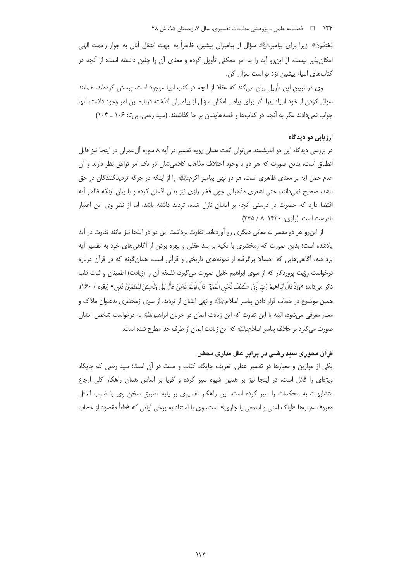۱۳۴ هـ د السلامه علمي ـ پژوهشي مطالعات تفسيري، سال ۷، زمستان ۹۵، ش ۲۸

يُعْبَدُونَ»؛ زيرا براي پيامبرﷺ سؤال از پيامبران پيشين، ظاهراً به جهت انتقال آنان به جوار رحمت الهي امکان پذیر نیست، از این٫رو آیه را به امر ممکنی تأویل کرده و معنای آن را چنین دانسته است: از آنچه در كتابهاى انبياء پيشين نزد تو است سؤال كن.

وی در تبیین این تأویل بیان می کند که عقلا از آنچه در کتب انبیا موجود است، پرسش کردهاند، همانند سؤال کردن از خود انبیا؛ زیرا اگر برای پیامبر امکان سؤال از پیامبران گذشته درباره این امر وجود داشت، آنها جواب نمی دادند مگر به آنچه در کتابها و قصههایشان بر جا گذاشتند. (سید رضی، بی تا: ۱۰۶ \_ ۱۰۴)

# ارزيابي دو ديدگاه

در بررسی دیدگاه این دو اندیشمند می¤وان گفت همان رویه تفسیر در آیه ۸ سوره آلعمران در اینجا نیز قابل انطباق است، بدین صورت که هر دو با وجود اختلاف مذاهب کلامیشان در یک امر توافق نظر دارند و آن عدم حمل آیه بر معنای ظاهری است، هر دو نهی پیامبر اکرمﷺ را از اینکه در جرگه تردیدکنندگان در حق باشد، صحیح نمی دانند، حتی اشعری مذهبانی چون فخر رازی نیز بدان اذعان کرده و با بیان اینکه ظاهر آیه اقتضا دارد که حضرت در درستی آنچه بر ایشان نازل شده، تردید داشته باشد، اما از نظر وی این اعتبار  $(550 / A.1)$ ۰ نادرست است. (رازی، ۱۴۲۰: ۸/ ۲۴۵

از این و هر دو مفسر به معانی دیگری رو آوردهاند، تفاوت برداشت این دو در اینجا نیز مانند تفاوت در آیه یادشده است؛ بدین صورت که زمخشری با تکیه بر بعد عقلی و بهره بردن از آگاهیهای خود به تفسیر آیه پرداخته، آگاهی هایی که احتمالا برگرفته از نمونههای تاریخی و قرآنی است، همان گونه که در قرآن درباره درخواست رؤيت پروردگار كه از سوى ابراهيم خليل صورت مى گيرد، فلسفه آن را (زيادت) اطمينان و ثبات قلب ذكر ميداند: «وَإِذْ قالَ إِبْراٰهِيمُ رَبّ اَرِنِي كَيْفَ تُحْيِ الْمَوْتِي قالَ اوَلَمْ تُوْمِنْ قالَ بَلي وَلْكِنْ لِيَطْمَئِنَّ قَلْبِي» (بقره / ٢۶٠). همین موضوع در خطاب قرار دادن پیامبر اسلامﷺ و نهی ایشان از تردید، از سوی زمخشری بهعنوان ملاک و معیار معرفی می شود، البته با این تفاوت که این زیادت ایمان در جریان ابراهیم ﷺ به درخواست شخص ایشان صورت مي گيرد بر خلاف پيامبر اسلامﷺ كه اين زيادت ايمان از طرف خدا مطرح شده است.

# قرآن محوری سبد رضی در برابر عقل مداری محض

یکی از موازین و معیارها در تفسیر عقلی، تعریف جایگاه کتاب و سنت در آن است؛ سید رضی که جایگاه ویژهای را قائل است، در اینجا نیز بر همین شیوه سیر کرده و گویا بر اساس همان راهکار کلی ارجاع متشابهات به محکمات را سیر کرده است، این راهکار تفسیری بر پایه تطبیق سخن وی با ضرب المثل معروف عربها «ایاک اعنی و اسمعی یا جاری» است، وی با استناد به برخی آیاتی که قطعاً مقصود از خطاب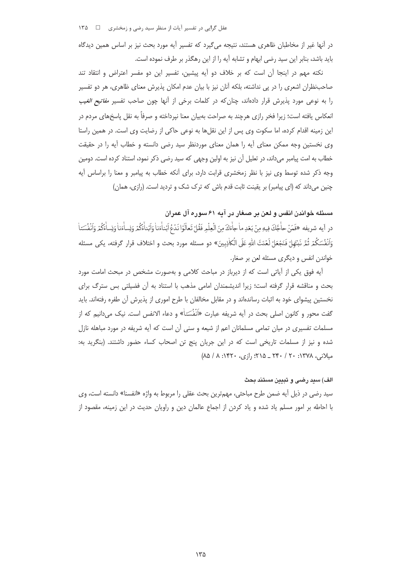عقل گرایی در تفسیر آیات از منظر سید رضی و زمخشری ه س ۱۳۵

در آنها غیر از مخاطبان ظاهری هستند، نتیجه می گیرد که تفسیر آیه مورد بحث نیز بر اساس همین دیدگاه باید باشد، بنابر این سید رضی ابهام و تشابه آیه را از این رهگذر بر طرف نموده است.

نکته مهم در اینجا آن است که بر خلاف دو آیه پیشین، تفسیر این دو مفسر اعتراض و انتقاد تند صاحب نظران اشعری را در پی نداشته، بلکه آنان نیز با بیان عدم امکان پذیرش معنای ظاهری، هر دو تفسیر را به نوعی مورد پذیرش قرار دادهاند، چنان *ک*ه در کلمات برخی از اًنها چون صاحب تفسیر *مفاتیح الغیب* انعکاس یافته است؛ زیرا فخر رازی هرچند به صراحت بهبیان معنا نیرداخته و صرفاً به نقل یاسخهای مردم در این زمینه اقدام کرده، اما سکوت وی پس از این نقلها به نوعی حاکی از رضایت وی است. در همین راستا وی نخستین وجه ممکن معنای آیه را همان معنای موردنظر سید رضی دانسته و خطاب آیه را در حقیقت خطاب به امت پیامبر میداند، در تعلیل آن نیز به اولین وجهی که سید رضی ذکر نمود، استناد کرده است. دومین وجه ذکر شده توسط وی نیز با نظر زمخشری قرابت دارد، برای آنکه خطاب به پیامبر و معنا را براساس آیه چنین می داند که (ای پیامبر) بر یقینت ثابت قدم باش که ترک شک و تردید است. (رازی، همان)

مسئله خواندن انفس و لعن بر صغار در آبه ۶۱ سوره آل عمران

در آيه شريفه «فَمَنْ حاْجَّكَ فِيهِ مِنْ بَعْدِ ماٰ جاْءَكَ مِنَ الْعِلْمِ فَقُلْ تَعالَوْا نَدْعُ أبْناْءَناٰ وَأبْناْءَكُمْ وَنِساْءَنا وَنِساْءَكُمْ وَانْفُسَنا وَاَنْفُسَكُمْ ثُمَّرَ نَبْتَهَلْ فَنَجْعَلْ لَعْنَتَ اللهِ عَلَى الْكاٰذِبِينَ» دو مسئله مورد بحث و اختلاف قرار گرفته، يكي مسئله خواندن انفس و دیگری مسئله لعن بر صغار.

آيه فوق يكي از آياتي است كه از ديرباز در مباحث كلامي و بهصورت مشخص در مبحث امامت مورد بحث و مناقشه قرار گرفته است؛ زیرا اندیشمندان امامی مذهب با استناد به آن فضیلتی بس سترگ برای نخستین پیشوای خود به اثبات رساندهاند و در مقابل مخالفان با طرح اموری از پذیرش آن طفره رفتهاند. باید گفت محور و کانون اصلی بحث در آیه شریفه عبارت «اَنْفُسَتاْ» و دعاء الانفس است. نیک میدانیم که از مسلمات تفسیری در میان تمامی مسلمانان اعم از شیعه و سنی آن است که آیه شریفه در مورد مباهله نازل شده و نیز از مسلمات تاریخی است که در این جریان پنج تن اصحاب کساء حضور داشتند. (بنگرید به: میلانی، ۱۳۷۸: ۲۰ / ۲۴۰ \_ ۲۱۵: ۱; ازی، ۱۴۲۰: ۸/ ۵/)

#### الف) سيد رضى و تبيين مستند بحث

سيد رضي در ذيل آيه ضمن طرح مباحثي، مهمترين بحث عقلي را مربوط به واژه «انفسنا» دانسته است، وي با احاطه بر امور مسلم یاد شده و یاد کردن از اجماع عالمان دین و راویان حدیث در این زمینه، مقصود از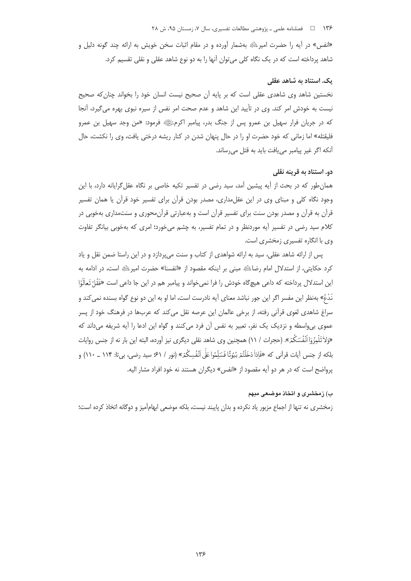#### ۱۳۶ هـ فصلنامه علمي ـ پژوهشي مطالعات تفسيري، سال ۰۷ زمستان ۹۵، ش ۲۸

«انفس» در آیه را حضرت امیر ﷺ بهشمار آورده و در مقام اثبات سخن خویش به ارائه چند گونه دلیل و شاهد پرداخته است که در یک نگاه کلی میتوان آنها را به دو نوع شاهد عقلی و نقلی تقسیم کرد.

### یک. استناد به شاهد عقلی

نخستین شاهد وی شاهدی عقلی است که بر پایه آن صحیح نیست انسان خود را بخواند چنان که صحیح نیست به خودش امر کند. وی در تأیید این شاهد و عدم صحت امر نفس از سیره نبوی بهره می5یرد، آنجا که در جریان فرار سهیل بن عمرو پس از جنگ بدر، پیامبر اکرمﷺ فرمود: «من وجد سهیل بن عمرو فلیقتله» اما زمانی که خود حضرت او را در حال پنهان شدن در کنار ریشه درختی یافت، وی را نکشت، حال آنکه اگر غیر پیامبر می یافت باید به قتل می <sub>(</sub>ساند.

# دو. استناد به قرینه نقلی

همان طور که در بحث از آیه پیشین آمد، سید رضی در تفسیر تکیه خاصی بر نگاه عقل گرایانه دارد، با این وجود نگاه کلی و مبنای وی در این عقلمداری، مصدر بودن قرآن برای تفسیر خود قرآن یا همان تفسیر قرآن به قرآن و مصدر بودن سنت برای تفسیر قرآن است و بهعبارتی قرآنمحوری و سنتمداری بهخوبی در کلام سید رضی در تفسیر آیه موردنظر و در تمام تفسیر، به چشم می خورد؛ امری که بهخوبی بیانگر تفاوت وی با انگاره تفسیری زمخشری است.

یس از ارائه شاهد عقلی، سید به ارائه شواهدی از کتاب و سنت می پردازد و در این راستا ضمن نقل و یاد كرد حكايتي، از استدلال امام رضاءليَّةٍ مبنى بر اينكه مقصود از «انفسنا» حضرت امير، الله است، در ادامه به این استدلال پرداخته که داعی هیچگاه خودش را فرا نمی خواند و پیامبر هم در این جا داعی است «فَقُلٌ تَعاْلَوْا نَدْعُ» بهنظر این مفسر اگر این جور نباشد معنای آیه نادرست است، اما او به این دو نوع گواه بسنده نمی *ک*ند و سراغ شاهدی لغوی قرآنی رفته، از برخی عالمان این عرصه نقل می کند که عربها در فرهنگ خود از پسر عموی بی واسطه و نزدیک یک نفر، تعبیر به نفس آن فرد میکنند و گواه این ادعا را آیه شریفه می داند که «وَلاٰ تَلْمِزُوٓا أَنۡفُسَكُمْ». (حجرات / ١١) همچنین وی شاهد نقلی دیگری نیز آورده، البته این بار نه از جنس روایات بلكه از جنس آيات قرآني كه «فَإِذاْ دَخَلْتُمْ بُيُوتًا فَسَلِّمُوا عَلَّى أَنْفُسِكُمْ» (نور / ۶۱° سيد رضي، بي'تا: ۱۱۴ \_ ۱۱۰) و یرواضح است که در هر دو آیه مقصود از «انفس» دیگران هستند نه خود افراد مشار الیه.

# ب) زمخشری و اتخاذ موضعی مبهم

زمخشری نه تنها از اجماع مزبور یاد نکرده و بدان پایبند نیست، بلکه موضعی ابهامآمیز و دوگانه اتخاذ کرده است؛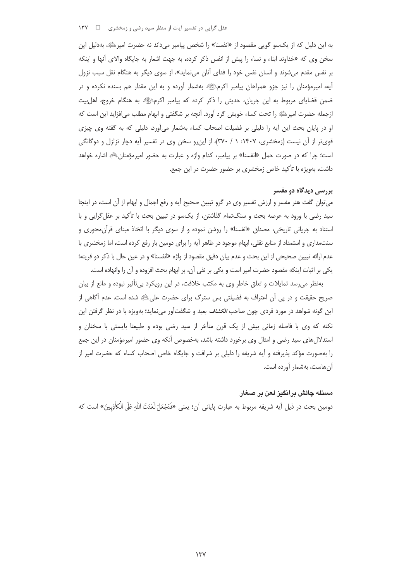عقل گرایی در تفسیر آیات از منظر سید رضی و زمخشری د د ۱۳۷

به این دلیل که از یکسو گویی مقصود از «انفسنا» را شخص پیامبر میداند نه حضرت امیر ﷺ، بهدلیل این سخن وي كه «خداوند ابناء و نساء را پيش از انفس ذكر كرده، به جهت اشعار به جايگاه والاي آنها و اينكه بر نفس مقدم می شوند و انسان نفس خود را فدای آنان می نماید»، از سوی دیگر به هنگام نقل سبب نزول آیه، امیرمؤمنان را نیز جزو همراهان پیامبر اکرمﷺ بهشمار آورده و به این مقدار هم بسنده نکرده و در ضمن قضایای مربوط به این جریان، حدیثی را ذکر کرده که پیامبر اکرمﷺ به هنگام خروج، اهلبیت ازجمله حضرت امیر ﷺ را تحت کساء خویش گرد آورد. آنچه بر شگفتی و ابهام مطلب می|فزاید این است که او در پایان بحث این آیه را دلیلی بر فضیلت اصحاب کساء بهشمار میآورد، دلیلی که به گفته وی چیزی قوی تر از آن نیست (زمخشری، ۱۴۰۷: ۱ / ۳۷۰)، از این رو سخن وی در تفسیر آیه دچار تزلزل و دوگانگی است؛ چرا که در صورت حمل «انفسنا» بر پیامبر، کدام واژه و عبارت به حضور امیرمؤمنان ﷺ اشاره خواهد داشت، بهویژه با تأکید خاص زمخشری بر حضور حضرت در این جمع.

#### بررسی دیدگاه دو مفسر

می توان گفت هنر مفسر و ارزش تفسیر وی در گرو تبیین صحیح آیه و رفع اجمال و ابهام از آن است، در اینجا سید رضی با ورود به عرصه بحث و سنگتمام گذاشتن، از یکسو در تبیین بحث با تأکید بر عقل گرایی و با استناد به جریانی تاریخی، مصداق «انفسنا» را روشن نموده و از سوی دیگر با اتخاذ مبنای قرآن محوری و سنتمداری و استمداد از منابع نقلی، ابهام موجود در ظاهر آیه را برای دومین بار رفع کرده است، اما زمخشری با عدم ارائه تبیین صحیحی از این بحث و عدم بیان دقیق مقصود از واژه «انفسنا» و در عین حال با ذکر دو قرینه؛ يكي بر اثبات اينكه مقصود حضرت امير است و يكي بر نفي آن، بر ابهام بحث افزوده و آن را وانهاده است.

بهنظر می رسد تمایلات و تعلق خاطر وی به مکتب خلافت، در این رویکرد بی تأثیر نبوده و مانع از بیان صریح حقیقت و در پی آن اعتراف به فضیلتی بس سترگ برای حضرت علیﷺ شده است. عدم آگاهی از این گونه شواهد در مورد فردی چون صاح*ب الکشاف* بعید و شگفتآور مینماید؛ بهویژه با در نظر گرفتن این نکته که وی با فاصله زمانی بیش از یک قرن متأخر از سید رضی بوده و طبیعتا بایستی با سخنان و استدلالهای سید رضی و امثال وی برخورد داشته باشد، بهخصوص آنکه وی حضور امیرمؤمنان در این جمع را بهصورت مؤكد پذيرفته و آيه شريفه را دليلي بر شرافت و جايگاه خاص اصحاب كساء كه حضرت امير از آن هاست، بهشمار آورده است.

#### مسئله چالش برانگیز لعن بر صغار

دومين بحث در ذيل آيه شريفه مربوط به عبارت ياياني آن؛ يعني «فَنَجْعَلْ لَعْنَتَ اللهِ عَلَى الْكَاٰذِبِينَ» است كه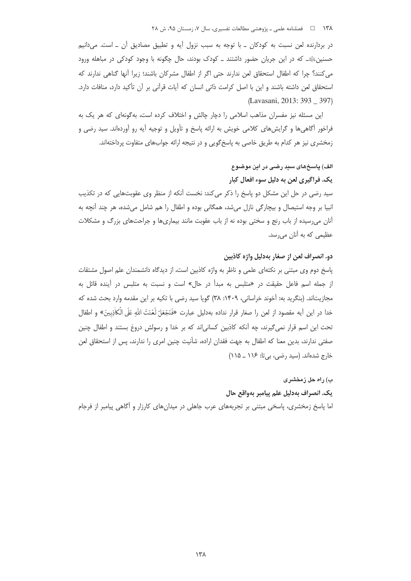۱۳۸ = 1 فصلنامه علمی ـ پژوهشی مطالعات تفسیری، سال ۷، زمستان ۹۵، ش ۲۸

در بردارنده لعن نسبت به کودکان ـ با توجه به سبب نزول آیه و تطبیق مصادیق آن ـ است. می دانیم حسنینﷺ۔ که در این جریان حضور داشتند ۔ کودک بودند، حال چگونه با وجود کودکی در مباهله ورود می کنند؟ چرا که اطفال استحقاق لعن ندارند حتی اگر از اطفال مشرکان باشند؛ زیرا آنها گناهی ندارند که استحقاق لعن داشته باشند و این با اصل کرامت ذاتی انسان که آیات قرآنی بر آن تأکید دارد، منافات دارد. (Lavasani, 2013: 393 397)

این مسئله نیز مفسران مذاهب اسلامی را دچار چالش و اختلاف کرده است، بهگونهای که هر یک به فراخور آگاهیها و گرایشهای کلامی خویش به ارائه پاسخ و تأویل و توجیه آیه رو آوردهاند. سید رضی و زمخشری نیز هر کدام به طریق خاصی به پاسخگویی و در نتیجه ارائه جوابهای متفاوت پرداختهاند.

# الف) پاسخهای سید رضی در این موضوع

# يک. فراگيري لعن به دليل سوء افعال کبار

سید رضی در حل این مشکل دو پاسخ را ذکر می کند: نخست آنکه از منظر وی عقوبتهایی که در تکذیب انبیا بر وجه استیصال و بیچارگی نازل میشد، همگانی بوده و اطفال را هم شامل میشده، هر چند آنچه به آنان میرسیده از باب رنج و سختی بوده نه از باب عقوبت مانند بیماریها و جراحتهای بزرگ و مشکلات عظیمی که به آنان میرسد.

# دو. انصراف لعن از صغار بهدليل واژه كاذبين

پاسخ دوم وی مبتنی بر نکتهای علمی و ناظر به واژه کاذبین است، از دیدگاه دانشمندان علم اصول مشتقات از جمله اسم فاعل حقیقت در «متلبس به مبدأ در حال» است و نسبت به متلبس در آینده قائل به مجازیتاند. (بنگرید به: آخوند خراسانی، ۱۴۰۹: ۳۸) گویا سید رضی با تکیه بر این مقدمه وارد بحث شده که خدا در اين آيه مقصود از لعن را صغار قرار نداده بهدليل عبارت «فَنَجْعَلْ لَعْنَتَ اللهِ عَلَى الْكَاذِبِينَ» و اطفال تحت این اسم قرار نمیگیرند، چه آنکه کاذبین کسانی|ند که بر خدا و رسولش دروغ بستند و اطفال چنین صفتی ندارند، بدین معنا که اطفال به جهت فقدان اراده، شأنیت چنین امری را ندارند، پس از استحقاق لعن خارج شدهاند. (سید رضی، بی تا: ۱۱۶ ـ ۱۱۵)

### ب) راه حل زمخشری

# يک. انصراف بهدليل علم پيامبر بهواقع حال

اما پاسخ زمخشری، پاسخی مبتنی بر تجربههای عرب جاهلی در میدانهای کارزار و أگاهی پیامبر از فرجام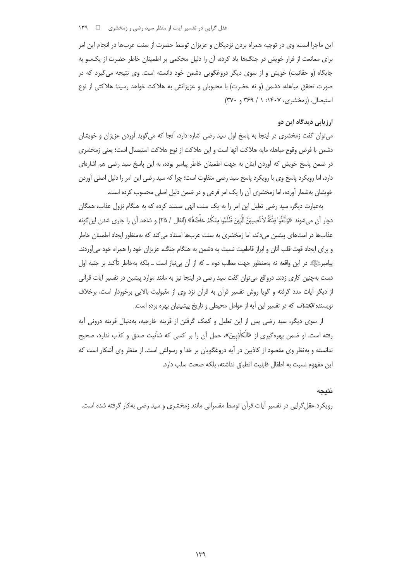این ماجرا است، وی در توجیه همراه بردن نزدیکان و عزیزان توسط حضرت از سنت عربها در انجام این امر برای ممانعت از فرار خویش در جنگها یاد کرده، آن را دلیل محکمی بر اطمینان خاطر حضرت از یکسو به جایگاه (و حقانیت) خویش و از سوی دیگر دروغگویی دشمن خود دانسته است. وی نتیجه میگیرد که در صورت تحقق مباهله، دشمن (و نه حضرت) با محبوبان و عزیزانش به هلاکت خواهد رسید؛ هلاکتی از نوع استیصال. (زمخشری، ۱۴۰۷: ۱ / ۳۶۹ و ۳۷۰)

# ارزیابی دیدگاه این دو

می توان گفت زمخشری در اینجا به پاسخ اول سید رضی اشاره دارد، آنجا که میگوید آوردن عزیزان و خویشان دشمن با فرض وقوع مباهله مايه هلاكت آنها است و اين هلاكت از نوع هلاكت استيصال است؛ يعني زمخشري در ضمن پاسخ خویش که آوردن اینان به جهت اطمینان خاطر پیامبر بوده، به این پاسخ سید رضی هم اشارهای دارد، اما رویکرد پاسخ وی با رویکرد پاسخ سید رضی متفاوت است؛ چرا که سید رضی این امر را دلیل اصلی آوردن خویشان بهشمار آورده، اما زمخشری آن را یک امر فرعی و در ضمن دلیل اصلی محسوب کرده است.

بهعبارت دیگر، سید رضی تعلیل این امر را به یک سنت الهی مستند کرده که به هنگام نزول عذاب، همگان دچار آن مي شوند «وَاتَّقُوا فِتْنَةً لاٰ تُصِيبَنَّ الَّذِينَ ظَلَمُوا مِنْكُمْ خاصَّةً» (انفال / ٢۵) و شاهد آن را جاري شدن اين گونه عذابها در امتهای پیشین میداند، اما زمخشری به سنت عربها استناد می کند که بهمنظور ایجاد اطمینان خاطر و برای ایجاد قوت قلب آنان و ابراز قاطعیت نسبت به دشمن به هنگام جنگ، عزیزان خود را همراه خود میآوردند. پیامبرﷺ در این واقعه نه بهمنظور جهت مطلب دوم ــ که از آن بی نیاز است ــ بلکه بهخاطر تأکید بر جنبه اول دست بهچنین کاری زدند. درواقع می توان گفت سید رضی در اینجا نیز به مانند موارد پیشین در تفسیر آیات قرآنی از دیگر آیات مدد گرفته و گویا روش تفسیر قرآن به قرآن نزد وی از مقبولیت بالایی برخوردار است، برخلاف نویسنده *الکشاف* که در تفسیر این آیه از عوامل محیطی و تاریخ پیشینیان بهره برده است.

از سوی دیگر، سید رضی پس از این تعلیل و کمک گرفتن از قرینه خارجیه، بهدنبال قرینه درونی آیه رفته است. او ضمن بهرهگیری از «الْکاٰذِبینَ»، حمل آن را بر کسی که شأنیت صدق و کذب ندارد، صحیح ندانسته و بهنظر وی مقصود از کاذبین در آیه دروغگویان بر خدا و رسولش است. از منظر وی آشکار است که اين مفهوم نسبت به اطفال قابليت انطباق نداشته، بلكه صحت سلب دارد.

# نتيجه

رویکرد عقل گرایی در تفسیر آیات قرآن توسط مفسرانی مانند زمخشری و سید رضی به کار گرفته شده است.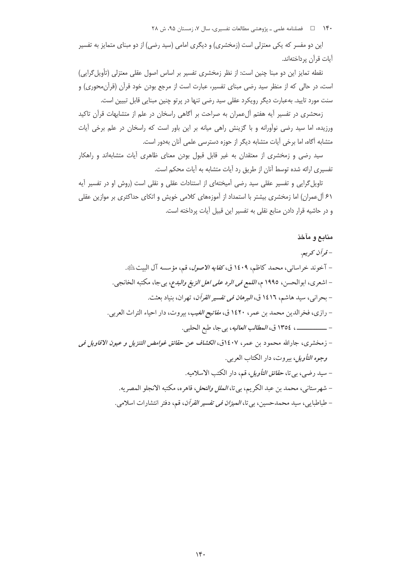۱۴۰ = هلنامه علمی ـ پژوهشی مطالعات تفسیری، سال ۷، زمستان ۹۵، ش ۲۸

این دو مفسر که یکی معتزلی است (زمخشری) و دیگری امامی (سید رضی) از دو مبنای متمایز به تفسیر آيات قرآن پرداختهاند.

نقطه تمایز این دو مبنا چنین است: از نظر زمخشری تفسیر بر اساس اصول عقلی معتزلی (تأویل گرایی) است، در حالی که از منظر سید رضی مبنای تفسیر، عبارت است از مرجع بودن خود قرآن (قرآن،محوری) و سنت مورد تایید. بهعبارت دیگر رویکرد عقلی سید رضی تنها در پرتو چنین مبنایی قابل تبیین است.

زمحشری در تفسیر آیه هفتم آل عمران به صراحت بر آگاهی راسخان در علم از متشابهات قرآن تاکید ورزیده، اما سید رضی نوآورانه و با گزینش راهی میانه بر این باور است که راسخان در علم برخی آیات متشابه آگاه، اما برخی آیات متشابه دیگر از حوزه دسترسی علمی آنان بهدور است.

سید رضی و زمخشری از معتقدان به غیر قابل قبول بودن معنای ظاهری آیات متشابهاند و راهکار تفسیری ارائه شده توسط آنان از طریق رد آیات متشابه به آیات محکم است.

تاویل گرایی و تفسیر عقلی سید رضی آمیختهای از استنادات عقلی و نقلی است (روش او در تفسیر آیه ۶۱ آل عمران) اما زمخشری بیشتر با استمداد از آموزههای کلامی خویش و اتکای حداکثری بر موازین عقلی و در حاشیه قرار دادن منابع نقلی به تفسیر این قبیل آیات پرداخته است.

#### منابع و مآخذ